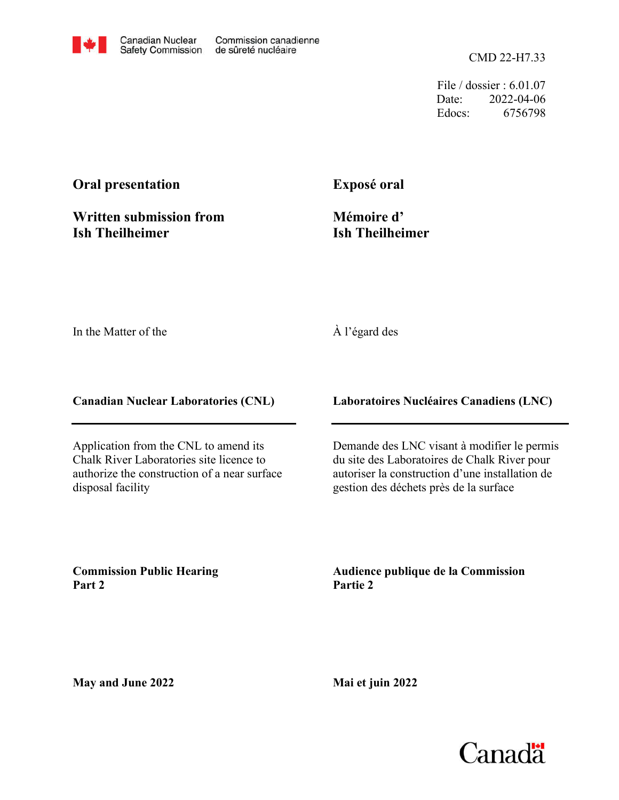CMD 22-H7.33

File / dossier : 6.01.07 Date: 2022-04-06 Edocs: 6756798

## **Oral presentation**

**Written submission from Ish Theilheimer**

## **Exposé oral**

**Mémoire d' Ish Theilheimer**

In the Matter of the

## À l'égard des

**Canadian Nuclear Laboratories (CNL)**

Application from the CNL to amend its Chalk River Laboratories site licence to authorize the construction of a near surface disposal facility

**Laboratoires Nucléaires Canadiens (LNC)**

Demande des LNC visant à modifier le permis du site des Laboratoires de Chalk River pour autoriser la construction d'une installation de gestion des déchets près de la surface

**Commission Public Hearing Part 2**

**Audience publique de la Commission Partie 2**

**May and June 2022**

**Mai et juin 2022**